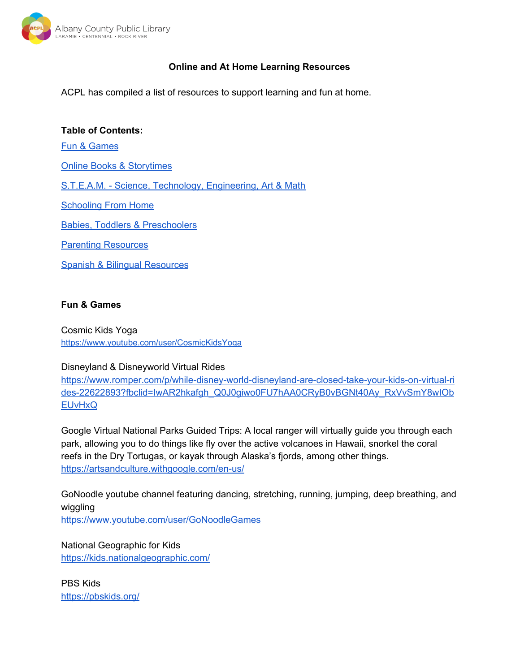

## **Online and At Home Learning Resources**

ACPL has compiled a list of resources to support learning and fun at home.

# **Table of Contents:** Fun & [Games](#page-0-0) Online Books & [Storytimes](#page-1-0) S.T.E.A.M. - Science, Technology, [Engineering,](#page-4-0) Art & Math **[Schooling](#page-6-0) From Home** Babies, Toddlers & [Preschoolers](#page-9-0) **Parenting [Resources](#page-10-0)** Spanish & Bilingual [Resources](#page-12-0)

### <span id="page-0-0"></span>**Fun & Games**

Cosmic Kids Yoga <https://www.youtube.com/user/CosmicKidsYoga>

#### Disneyland & Disneyworld Virtual Rides

[https://www.romper.com/p/while-disney-world-disneyland-are-closed-take-your-kids-on-virtual-ri](https://www.romper.com/p/while-disney-world-disneyland-are-closed-take-your-kids-on-virtual-rides-22622893?fbclid=IwAR2hkafgh_Q0J0giwo0FU7hAA0CRyB0vBGNt40Ay_RxVvSmY8wIObEUvHxQ) [des-22622893?fbclid=IwAR2hkafgh\\_Q0J0giwo0FU7hAA0CRyB0vBGNt40Ay\\_RxVvSmY8wIOb](https://www.romper.com/p/while-disney-world-disneyland-are-closed-take-your-kids-on-virtual-rides-22622893?fbclid=IwAR2hkafgh_Q0J0giwo0FU7hAA0CRyB0vBGNt40Ay_RxVvSmY8wIObEUvHxQ) **[EUvHxQ](https://www.romper.com/p/while-disney-world-disneyland-are-closed-take-your-kids-on-virtual-rides-22622893?fbclid=IwAR2hkafgh_Q0J0giwo0FU7hAA0CRyB0vBGNt40Ay_RxVvSmY8wIObEUvHxQ)** 

Google Virtual National Parks Guided Trips: A local ranger will virtually guide you through each park, allowing you to do things like fly over the active volcanoes in Hawaii, snorkel the coral reefs in the Dry Tortugas, or kayak through Alaska's fjords, among other things. <https://artsandculture.withgoogle.com/en-us/>

GoNoodle youtube channel featuring dancing, stretching, running, jumping, deep breathing, and wiggling <https://www.youtube.com/user/GoNoodleGames>

National Geographic for Kids <https://kids.nationalgeographic.com/>

PBS Kids <https://pbskids.org/>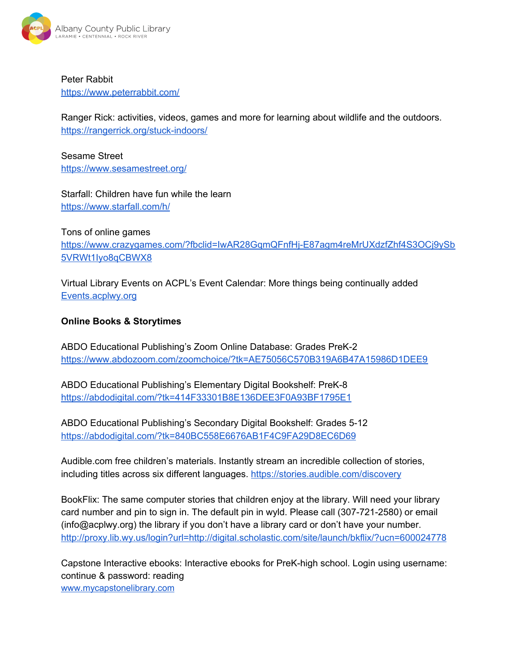

Peter Rabbit <https://www.peterrabbit.com/>

Ranger Rick: activities, videos, games and more for learning about wildlife and the outdoors. <https://rangerrick.org/stuck-indoors/>

Sesame Street <https://www.sesamestreet.org/>

Starfall: Children have fun while the learn <https://www.starfall.com/h/>

Tons of online games [https://www.crazygames.com/?fbclid=IwAR28GqmQFnfHj-E87agm4reMrUXdzfZhf4S3OCj9ySb](https://www.crazygames.com/?fbclid=IwAR28GqmQFnfHj-E87agm4reMrUXdzfZhf4S3OCj9ySb5VRWt1Iyo8qCBWX8) [5VRWt1Iyo8qCBWX8](https://www.crazygames.com/?fbclid=IwAR28GqmQFnfHj-E87agm4reMrUXdzfZhf4S3OCj9ySb5VRWt1Iyo8qCBWX8)

Virtual Library Events on ACPL's Event Calendar: More things being continually added [Events.acplwy.org](http://www.events.acplwy.org/)

# <span id="page-1-0"></span>**Online Books & Storytimes**

ABDO Educational Publishing's Zoom Online Database: Grades PreK-2 <https://www.abdozoom.com/zoomchoice/?tk=AE75056C570B319A6B47A15986D1DEE9>

ABDO Educational Publishing's Elementary Digital Bookshelf: PreK-8 <https://abdodigital.com/?tk=414F33301B8E136DEE3F0A93BF1795E1>

ABDO Educational Publishing's Secondary Digital Bookshelf: Grades 5-12 <https://abdodigital.com/?tk=840BC558E6676AB1F4C9FA29D8EC6D69>

Audible.com free children's materials. Instantly stream an incredible collection of stories, including titles across six different languages. <https://stories.audible.com/discovery>

BookFlix: The same computer stories that children enjoy at the library. Will need your library card number and pin to sign in. The default pin in wyld. Please call (307-721-2580) or email (info@acplwy.org) the library if you don't have a library card or don't have your number. <http://proxy.lib.wy.us/login?url=http://digital.scholastic.com/site/launch/bkflix/?ucn=600024778>

Capstone Interactive ebooks: Interactive ebooks for PreK-high school. Login using username: continue & password: reading [www.mycapstonelibrary.com](https://www2.mycapstone.com/e/131431/login/27vg8c/813979737?h=jDtwLaqD1G8SrQOhYdmdg-6iLdDheMSIRvHFH5H7CFA)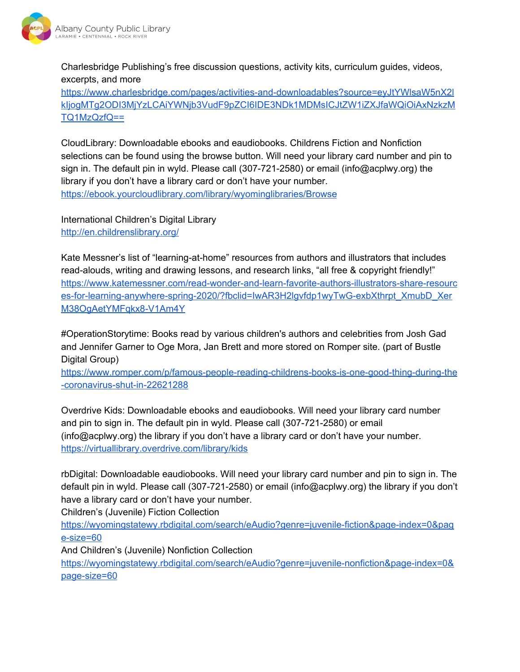

Charlesbridge Publishing's free discussion questions, activity kits, curriculum guides, videos, excerpts, and more

[https://www.charlesbridge.com/pages/activities-and-downloadables?source=eyJtYWlsaW5nX2l](https://www.charlesbridge.com/pages/activities-and-downloadables?source=eyJtYWlsaW5nX2lkIjogMTg2ODI3MjYzLCAiYWNjb3VudF9pZCI6IDE3NDk1MDMsICJtZW1iZXJfaWQiOiAxNzkzMTQ1MzQzfQ==) [kIjogMTg2ODI3MjYzLCAiYWNjb3VudF9pZCI6IDE3NDk1MDMsICJtZW1iZXJfaWQiOiAxNzkzM](https://www.charlesbridge.com/pages/activities-and-downloadables?source=eyJtYWlsaW5nX2lkIjogMTg2ODI3MjYzLCAiYWNjb3VudF9pZCI6IDE3NDk1MDMsICJtZW1iZXJfaWQiOiAxNzkzMTQ1MzQzfQ==) [TQ1MzQzfQ==](https://www.charlesbridge.com/pages/activities-and-downloadables?source=eyJtYWlsaW5nX2lkIjogMTg2ODI3MjYzLCAiYWNjb3VudF9pZCI6IDE3NDk1MDMsICJtZW1iZXJfaWQiOiAxNzkzMTQ1MzQzfQ==)

CloudLibrary: Downloadable ebooks and eaudiobooks. Childrens Fiction and Nonfiction selections can be found using the browse button. Will need your library card number and pin to sign in. The default pin in wyld. Please call (307-721-2580) or email (info@acplwy.org) the library if you don't have a library card or don't have your number. <https://ebook.yourcloudlibrary.com/library/wyominglibraries/Browse>

International Children's Digital Library <http://en.childrenslibrary.org/>

Kate Messner's list of "learning-at-home" resources from authors and illustrators that includes read-alouds, writing and drawing lessons, and research links, "all free & copyright friendly!" [https://www.katemessner.com/read-wonder-and-learn-favorite-authors-illustrators-share-resourc](https://www.katemessner.com/read-wonder-and-learn-favorite-authors-illustrators-share-resources-for-learning-anywhere-spring-2020/?fbclid=IwAR3H2lgvfdp1wyTwG-exbXthrpt_XmubD_XerM38OgAetYMFqkx8-V1Am4Y) [es-for-learning-anywhere-spring-2020/?fbclid=IwAR3H2lgvfdp1wyTwG-exbXthrpt\\_XmubD\\_Xer](https://www.katemessner.com/read-wonder-and-learn-favorite-authors-illustrators-share-resources-for-learning-anywhere-spring-2020/?fbclid=IwAR3H2lgvfdp1wyTwG-exbXthrpt_XmubD_XerM38OgAetYMFqkx8-V1Am4Y) [M38OgAetYMFqkx8-V1Am4Y](https://www.katemessner.com/read-wonder-and-learn-favorite-authors-illustrators-share-resources-for-learning-anywhere-spring-2020/?fbclid=IwAR3H2lgvfdp1wyTwG-exbXthrpt_XmubD_XerM38OgAetYMFqkx8-V1Am4Y)

#OperationStorytime: Books read by various children's authors and celebrities from Josh Gad and Jennifer Garner to Oge Mora, Jan Brett and more stored on Romper site. (part of Bustle Digital Group)

[https://www.romper.com/p/famous-people-reading-childrens-books-is-one-good-thing-during-the](https://www.romper.com/p/famous-people-reading-childrens-books-is-one-good-thing-during-the-coronavirus-shut-in-22621288) [-coronavirus-shut-in-22621288](https://www.romper.com/p/famous-people-reading-childrens-books-is-one-good-thing-during-the-coronavirus-shut-in-22621288)

Overdrive Kids: Downloadable ebooks and eaudiobooks. Will need your library card number and pin to sign in. The default pin in wyld. Please call (307-721-2580) or email (info@acplwy.org) the library if you don't have a library card or don't have your number. <https://virtuallibrary.overdrive.com/library/kids>

rbDigital: Downloadable eaudiobooks. Will need your library card number and pin to sign in. The default pin in wyld. Please call (307-721-2580) or email (info@acplwy.org) the library if you don't have a library card or don't have your number.

Children's (Juvenile) Fiction Collection

[https://wyomingstatewy.rbdigital.com/search/eAudio?genre=juvenile-fiction&page-index=0&pag](https://wyomingstatewy.rbdigital.com/search/eAudio?genre=juvenile-fiction&page-index=0&page-size=60) [e-size=60](https://wyomingstatewy.rbdigital.com/search/eAudio?genre=juvenile-fiction&page-index=0&page-size=60)

And Children's (Juvenile) Nonfiction Collection

[https://wyomingstatewy.rbdigital.com/search/eAudio?genre=juvenile-nonfiction&page-index=0&](https://wyomingstatewy.rbdigital.com/search/eAudio?genre=juvenile-nonfiction&page-index=0&page-size=60) [page-size=60](https://wyomingstatewy.rbdigital.com/search/eAudio?genre=juvenile-nonfiction&page-index=0&page-size=60)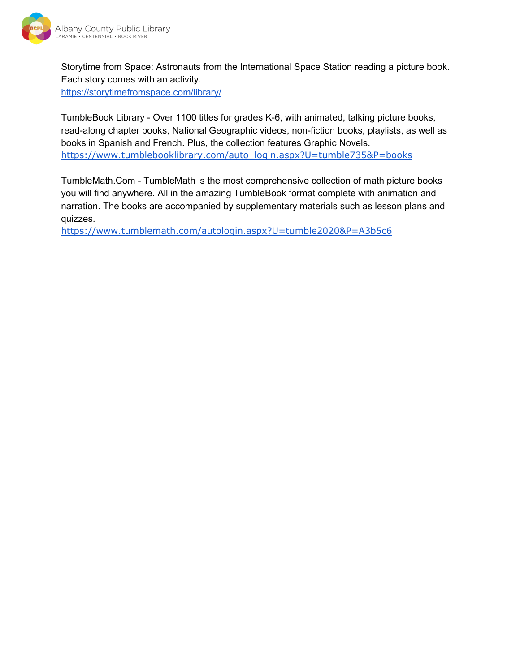

Storytime from Space: Astronauts from the International Space Station reading a picture book. Each story comes with an activity. <https://storytimefromspace.com/library/>

TumbleBook Library - Over 1100 titles for grades K-6, with animated, talking picture books, read-along chapter books, National Geographic videos, non-fiction books, playlists, as well as books in Spanish and French. Plus, the collection features Graphic Novels. [https://www.tumblebooklibrary.com/auto\\_login.aspx?U=tumble735&P=books](https://www.tumblebooklibrary.com/auto_login.aspx?U=tumble735&P=books)

TumbleMath.Com - TumbleMath is the most comprehensive collection of math picture books you will find anywhere. All in the amazing TumbleBook format complete with animation and narration. The books are accompanied by supplementary materials such as lesson plans and quizzes.

<https://www.tumblemath.com/autologin.aspx?U=tumble2020&P=A3b5c6>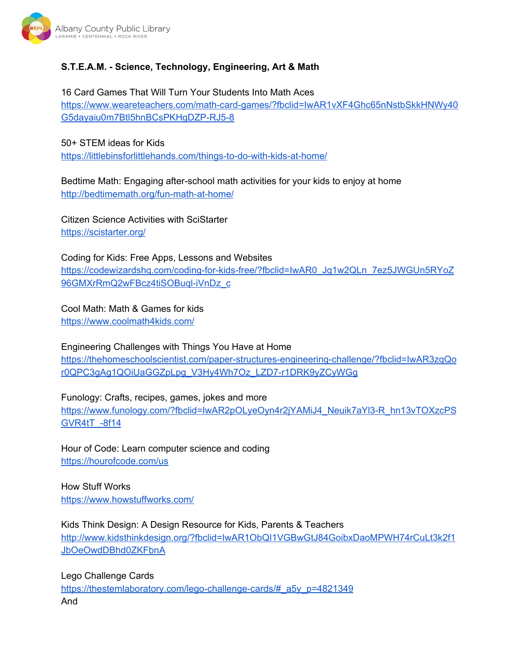

# <span id="page-4-0"></span>**S.T.E.A.M. - Science, Technology, Engineering, Art & Math**

16 Card Games That Will Turn Your Students Into Math Aces [https://www.weareteachers.com/math-card-games/?fbclid=IwAR1vXF4Ghc65nNstbSkkHNWy40](https://www.weareteachers.com/math-card-games/?fbclid=IwAR1vXF4Ghc65nNstbSkkHNWy40G5dayaiu0m7Btl5hnBCsPKHgDZP-RJ5-8) [G5dayaiu0m7Btl5hnBCsPKHgDZP-RJ5-8](https://www.weareteachers.com/math-card-games/?fbclid=IwAR1vXF4Ghc65nNstbSkkHNWy40G5dayaiu0m7Btl5hnBCsPKHgDZP-RJ5-8)

50+ STEM ideas for Kids <https://littlebinsforlittlehands.com/things-to-do-with-kids-at-home/>

Bedtime Math: Engaging after-school math activities for your kids to enjoy at home <http://bedtimemath.org/fun-math-at-home/>

Citizen Science Activities with SciStarter <https://scistarter.org/>

Coding for Kids: Free Apps, Lessons and Websites [https://codewizardshq.com/coding-for-kids-free/?fbclid=IwAR0\\_Jg1w2QLn\\_7ez5JWGUn5RYoZ](https://codewizardshq.com/coding-for-kids-free/?fbclid=IwAR0_Jg1w2QLn_7ez5JWGUn5RYoZ96GMXrRmQ2wFBcz4tiSOBuql-iVnDz_c) [96GMXrRmQ2wFBcz4tiSOBuql-iVnDz\\_c](https://codewizardshq.com/coding-for-kids-free/?fbclid=IwAR0_Jg1w2QLn_7ez5JWGUn5RYoZ96GMXrRmQ2wFBcz4tiSOBuql-iVnDz_c)

Cool Math: Math & Games for kids <https://www.coolmath4kids.com/>

Engineering Challenges with Things You Have at Home [https://thehomeschoolscientist.com/paper-structures-engineering-challenge/?fbclid=IwAR3zqQo](https://thehomeschoolscientist.com/paper-structures-engineering-challenge/?fbclid=IwAR3zqQor0QPC3gAg1QOiUaGGZpLpg_V3Hy4Wh7Oz_LZD7-r1DRK9yZCyWGg) [r0QPC3gAg1QOiUaGGZpLpg\\_V3Hy4Wh7Oz\\_LZD7-r1DRK9yZCyWGg](https://thehomeschoolscientist.com/paper-structures-engineering-challenge/?fbclid=IwAR3zqQor0QPC3gAg1QOiUaGGZpLpg_V3Hy4Wh7Oz_LZD7-r1DRK9yZCyWGg)

Funology: Crafts, recipes, games, jokes and more [https://www.funology.com/?fbclid=IwAR2pOLyeOyn4r2jYAMiJ4\\_Neuik7aYl3-R\\_hn13vTOXzcPS](https://www.funology.com/?fbclid=IwAR2pOLyeOyn4r2jYAMiJ4_Neuik7aYl3-R_hn13vTOXzcPSGVR4tT_-8f14) [GVR4tT\\_-8f14](https://www.funology.com/?fbclid=IwAR2pOLyeOyn4r2jYAMiJ4_Neuik7aYl3-R_hn13vTOXzcPSGVR4tT_-8f14)

Hour of Code: Learn computer science and coding <https://hourofcode.com/us>

How Stuff Works <https://www.howstuffworks.com/>

Kids Think Design: A Design Resource for Kids, Parents & Teachers [http://www.kidsthinkdesign.org/?fbclid=IwAR1ObQI1VGBwGtJ84GoibxDaoMPWH74rCuLt3k2f1](http://www.kidsthinkdesign.org/?fbclid=IwAR1ObQI1VGBwGtJ84GoibxDaoMPWH74rCuLt3k2f1JbOeOwdDBhd0ZKFbnA) [JbOeOwdDBhd0ZKFbnA](http://www.kidsthinkdesign.org/?fbclid=IwAR1ObQI1VGBwGtJ84GoibxDaoMPWH74rCuLt3k2f1JbOeOwdDBhd0ZKFbnA)

Lego Challenge Cards [https://thestemlaboratory.com/lego-challenge-cards/#\\_a5y\\_p=4821349](https://thestemlaboratory.com/lego-challenge-cards/#_a5y_p=4821349) And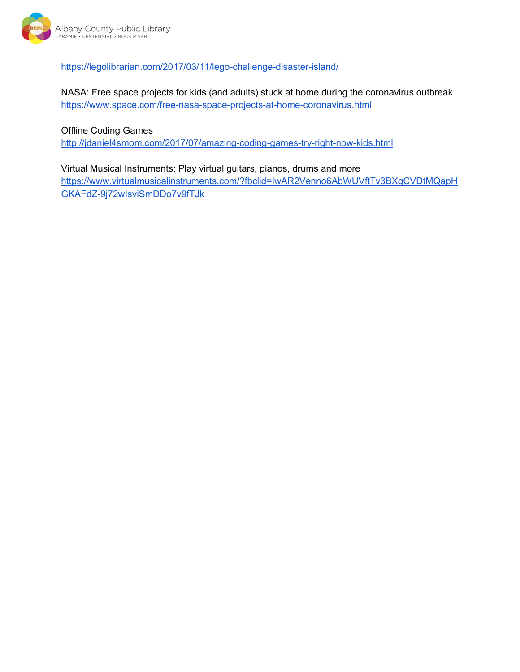

<https://legolibrarian.com/2017/03/11/lego-challenge-disaster-island/>

NASA: Free space projects for kids (and adults) stuck at home during the coronavirus outbreak <https://www.space.com/free-nasa-space-projects-at-home-coronavirus.html>

#### Offline Coding Games

<http://jdaniel4smom.com/2017/07/amazing-coding-games-try-right-now-kids.html>

Virtual Musical Instruments: Play virtual guitars, pianos, drums and more [https://www.virtualmusicalinstruments.com/?fbclid=IwAR2Venno6AbWUVftTv3BXgCVDtMQapH](https://www.virtualmusicalinstruments.com/?fbclid=IwAR2Venno6AbWUVftTv3BXgCVDtMQapHGKAFdZ-9j72wIsviSmDDo7v9fTJk) [GKAFdZ-9j72wIsviSmDDo7v9fTJk](https://www.virtualmusicalinstruments.com/?fbclid=IwAR2Venno6AbWUVftTv3BXgCVDtMQapHGKAFdZ-9j72wIsviSmDDo7v9fTJk)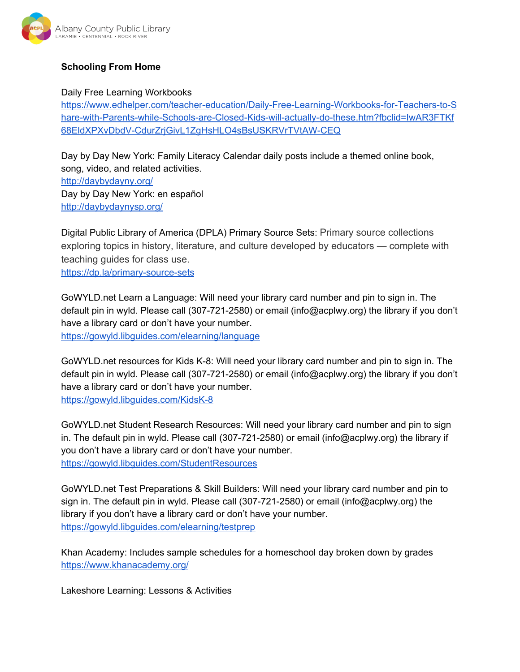

# <span id="page-6-0"></span>**Schooling From Home**

Daily Free Learning Workbooks

[https://www.edhelper.com/teacher-education/Daily-Free-Learning-Workbooks-for-Teachers-to-S](https://www.edhelper.com/teacher-education/Daily-Free-Learning-Workbooks-for-Teachers-to-Share-with-Parents-while-Schools-are-Closed-Kids-will-actually-do-these.htm?fbclid=IwAR3FTKf68EldXPXvDbdV-CdurZrjGivL1ZgHsHLO4sBsUSKRVrTVtAW-CEQ) [hare-with-Parents-while-Schools-are-Closed-Kids-will-actually-do-these.htm?fbclid=IwAR3FTKf](https://www.edhelper.com/teacher-education/Daily-Free-Learning-Workbooks-for-Teachers-to-Share-with-Parents-while-Schools-are-Closed-Kids-will-actually-do-these.htm?fbclid=IwAR3FTKf68EldXPXvDbdV-CdurZrjGivL1ZgHsHLO4sBsUSKRVrTVtAW-CEQ) [68EldXPXvDbdV-CdurZrjGivL1ZgHsHLO4sBsUSKRVrTVtAW-CEQ](https://www.edhelper.com/teacher-education/Daily-Free-Learning-Workbooks-for-Teachers-to-Share-with-Parents-while-Schools-are-Closed-Kids-will-actually-do-these.htm?fbclid=IwAR3FTKf68EldXPXvDbdV-CdurZrjGivL1ZgHsHLO4sBsUSKRVrTVtAW-CEQ)

Day by Day New York: Family Literacy Calendar daily posts include a themed online book, song, video, and related activities. <http://daybydayny.org/> Day by Day New York: en español <http://daybydaynysp.org/>

Digital Public Library of America (DPLA) Primary Source Sets: Primary source collections exploring topics in history, literature, and culture developed by educators — complete with teaching guides for class use.

<https://dp.la/primary-source-sets>

GoWYLD.net Learn a Language: Will need your library card number and pin to sign in. The default pin in wyld. Please call (307-721-2580) or email (info@acplwy.org) the library if you don't have a library card or don't have your number.

<https://gowyld.libguides.com/elearning/language>

GoWYLD.net resources for Kids K-8: Will need your library card number and pin to sign in. The default pin in wyld. Please call (307-721-2580) or email (info@acplwy.org) the library if you don't have a library card or don't have your number. <https://gowyld.libguides.com/KidsK-8>

GoWYLD.net Student Research Resources: Will need your library card number and pin to sign in. The default pin in wyld. Please call (307-721-2580) or email (info@acplwy.org) the library if you don't have a library card or don't have your number. <https://gowyld.libguides.com/StudentResources>

GoWYLD.net Test Preparations & Skill Builders: Will need your library card number and pin to sign in. The default pin in wyld. Please call (307-721-2580) or email (info@acplwy.org) the library if you don't have a library card or don't have your number. <https://gowyld.libguides.com/elearning/testprep>

Khan Academy: Includes sample schedules for a homeschool day broken down by grades <https://www.khanacademy.org/>

Lakeshore Learning: Lessons & Activities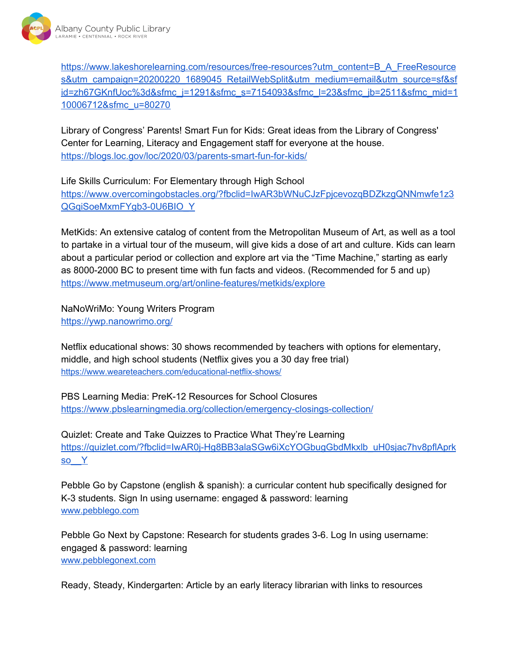

[https://www.lakeshorelearning.com/resources/free-resources?utm\\_content=B\\_A\\_FreeResource](https://www.lakeshorelearning.com/resources/free-resources?utm_content=B_A_FreeResources&utm_campaign=20200220_1689045_RetailWebSplit&utm_medium=email&utm_source=sf&sfid=zh67GKnfUoc%3d&sfmc_j=1291&sfmc_s=7154093&sfmc_l=23&sfmc_jb=2511&sfmc_mid=110006712&sfmc_u=80270) [s&utm\\_campaign=20200220\\_1689045\\_RetailWebSplit&utm\\_medium=email&utm\\_source=sf&sf](https://www.lakeshorelearning.com/resources/free-resources?utm_content=B_A_FreeResources&utm_campaign=20200220_1689045_RetailWebSplit&utm_medium=email&utm_source=sf&sfid=zh67GKnfUoc%3d&sfmc_j=1291&sfmc_s=7154093&sfmc_l=23&sfmc_jb=2511&sfmc_mid=110006712&sfmc_u=80270) [id=zh67GKnfUoc%3d&sfmc\\_j=1291&sfmc\\_s=7154093&sfmc\\_l=23&sfmc\\_jb=2511&sfmc\\_mid=1](https://www.lakeshorelearning.com/resources/free-resources?utm_content=B_A_FreeResources&utm_campaign=20200220_1689045_RetailWebSplit&utm_medium=email&utm_source=sf&sfid=zh67GKnfUoc%3d&sfmc_j=1291&sfmc_s=7154093&sfmc_l=23&sfmc_jb=2511&sfmc_mid=110006712&sfmc_u=80270) [10006712&sfmc\\_u=80270](https://www.lakeshorelearning.com/resources/free-resources?utm_content=B_A_FreeResources&utm_campaign=20200220_1689045_RetailWebSplit&utm_medium=email&utm_source=sf&sfid=zh67GKnfUoc%3d&sfmc_j=1291&sfmc_s=7154093&sfmc_l=23&sfmc_jb=2511&sfmc_mid=110006712&sfmc_u=80270)

Library of Congress' Parents! Smart Fun for Kids: Great ideas from the Library of Congress' Center for Learning, Literacy and Engagement staff for everyone at the house. <https://blogs.loc.gov/loc/2020/03/parents-smart-fun-for-kids/>

Life Skills Curriculum: For Elementary through High School [https://www.overcomingobstacles.org/?fbclid=IwAR3bWNuCJzFpjcevozqBDZkzgQNNmwfe1z3](https://www.overcomingobstacles.org/?fbclid=IwAR3bWNuCJzFpjcevozqBDZkzgQNNmwfe1z3QGqiSoeMxmFYgb3-0U6BIO_Y) [QGqiSoeMxmFYgb3-0U6BIO\\_Y](https://www.overcomingobstacles.org/?fbclid=IwAR3bWNuCJzFpjcevozqBDZkzgQNNmwfe1z3QGqiSoeMxmFYgb3-0U6BIO_Y)

MetKids: An extensive catalog of content from the Metropolitan Museum of Art, as well as a tool to partake in a virtual tour of the museum, will give kids a dose of art and culture. Kids can learn about a particular period or collection and explore art via the "Time Machine," starting as early as 8000-2000 BC to present time with fun facts and videos. (Recommended for 5 and up) <https://www.metmuseum.org/art/online-features/metkids/explore>

NaNoWriMo: Young Writers Program <https://ywp.nanowrimo.org/>

Netflix educational shows: 30 shows recommended by teachers with options for elementary, middle, and high school students (Netflix gives you a 30 day free trial) <https://www.weareteachers.com/educational-netflix-shows/>

PBS Learning Media: PreK-12 Resources for School Closures <https://www.pbslearningmedia.org/collection/emergency-closings-collection/>

Quizlet: Create and Take Quizzes to Practice What They're Learning [https://quizlet.com/?fbclid=IwAR0j-Hg8BB3alaSGw6iXcYOGbugGbdMkxlb\\_uH0sjac7hv8pflAprk](https://quizlet.com/?fbclid=IwAR0j-Hg8BB3alaSGw6iXcYOGbugGbdMkxlb_uH0sjac7hv8pflAprkso__Y) so Y

Pebble Go by Capstone (english & spanish): a curricular content hub specifically designed for K-3 students. Sign In using username: engaged & password: learning [www.pebblego.com](https://www2.mycapstone.com/e/131431/2020-03-21/27zj8s/813979737?h=jDtwLaqD1G8SrQOhYdmdg-6iLdDheMSIRvHFH5H7CFA)

Pebble Go Next by Capstone: Research for students grades 3-6. Log In using username: engaged & password: learning [www.pebblegonext.com](https://www2.mycapstone.com/e/131431/2020-03-21/27zj8v/813979737?h=jDtwLaqD1G8SrQOhYdmdg-6iLdDheMSIRvHFH5H7CFA)

Ready, Steady, Kindergarten: Article by an early literacy librarian with links to resources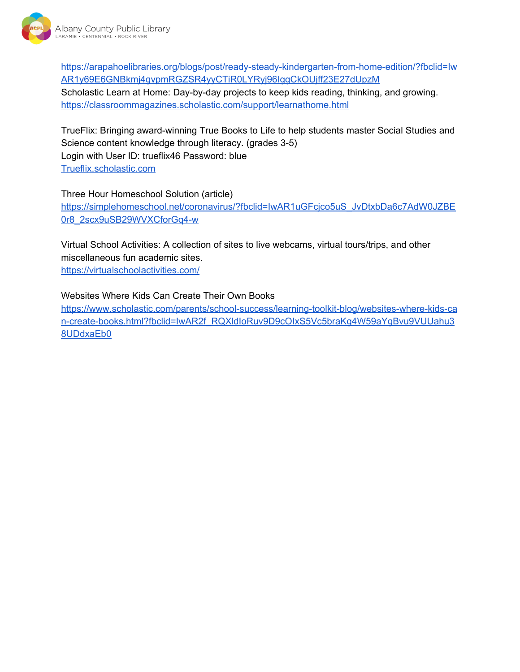

[https://arapahoelibraries.org/blogs/post/ready-steady-kindergarten-from-home-edition/?fbclid=Iw](https://arapahoelibraries.org/blogs/post/ready-steady-kindergarten-from-home-edition/?fbclid=IwAR1y69E6GNBkmj4gvpmRGZSR4yyCTiR0LYRyj96IggCkOUjff23E27dUpzM) [AR1y69E6GNBkmj4gvpmRGZSR4yyCTiR0LYRyj96IggCkOUjff23E27dUpzM](https://arapahoelibraries.org/blogs/post/ready-steady-kindergarten-from-home-edition/?fbclid=IwAR1y69E6GNBkmj4gvpmRGZSR4yyCTiR0LYRyj96IggCkOUjff23E27dUpzM) Scholastic Learn at Home: Day-by-day projects to keep kids reading, thinking, and growing. <https://classroommagazines.scholastic.com/support/learnathome.html>

TrueFlix: Bringing award-winning True Books to Life to help students master Social Studies and Science content knowledge through literacy. (grades 3-5) Login with User ID: trueflix46 Password: blue [Trueflix.scholastic.com](http://www.truelix.scholastic.com/)

Three Hour Homeschool Solution (article) [https://simplehomeschool.net/coronavirus/?fbclid=IwAR1uGFcjco5uS\\_JvDtxbDa6c7AdW0JZBE](https://simplehomeschool.net/coronavirus/?fbclid=IwAR1uGFcjco5uS_JvDtxbDa6c7AdW0JZBE0r8_2scx9uSB29WVXCforGq4-w) [0r8\\_2scx9uSB29WVXCforGq4-w](https://simplehomeschool.net/coronavirus/?fbclid=IwAR1uGFcjco5uS_JvDtxbDa6c7AdW0JZBE0r8_2scx9uSB29WVXCforGq4-w)

Virtual School Activities: A collection of sites to live webcams, virtual tours/trips, and other miscellaneous fun academic sites.

<https://virtualschoolactivities.com/>

Websites Where Kids Can Create Their Own Books

[https://www.scholastic.com/parents/school-success/learning-toolkit-blog/websites-where-kids-ca](https://www.scholastic.com/parents/school-success/learning-toolkit-blog/websites-where-kids-can-create-books.html?fbclid=IwAR2f_RQXldIoRuv9D9cOIxS5Vc5braKg4W59aYgBvu9VUUahu38UDdxaEb0) [n-create-books.html?fbclid=IwAR2f\\_RQXldIoRuv9D9cOIxS5Vc5braKg4W59aYgBvu9VUUahu3](https://www.scholastic.com/parents/school-success/learning-toolkit-blog/websites-where-kids-can-create-books.html?fbclid=IwAR2f_RQXldIoRuv9D9cOIxS5Vc5braKg4W59aYgBvu9VUUahu38UDdxaEb0) [8UDdxaEb0](https://www.scholastic.com/parents/school-success/learning-toolkit-blog/websites-where-kids-can-create-books.html?fbclid=IwAR2f_RQXldIoRuv9D9cOIxS5Vc5braKg4W59aYgBvu9VUUahu38UDdxaEb0)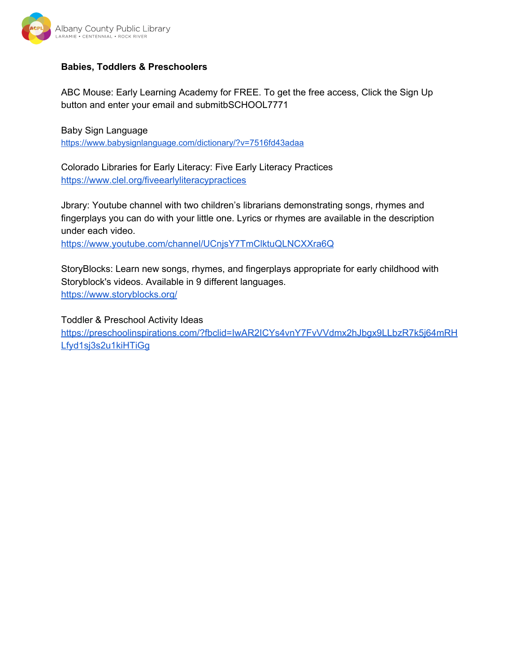

# <span id="page-9-0"></span>**Babies, Toddlers & Preschoolers**

ABC Mouse: Early Learning Academy for FREE. To get the free access, Click the Sign Up button and enter your email and submitbSCHOOL7771

Baby Sign Language <https://www.babysignlanguage.com/dictionary/?v=7516fd43adaa>

Colorado Libraries for Early Literacy: Five Early Literacy Practices <https://www.clel.org/fiveearlyliteracypractices>

Jbrary: Youtube channel with two children's librarians demonstrating songs, rhymes and fingerplays you can do with your little one. Lyrics or rhymes are available in the description under each video.

<https://www.youtube.com/channel/UCnjsY7TmClktuQLNCXXra6Q>

StoryBlocks: Learn new songs, rhymes, and fingerplays appropriate for early childhood with Storyblock's videos. Available in 9 different languages. <https://www.storyblocks.org/>

Toddler & Preschool Activity Ideas [https://preschoolinspirations.com/?fbclid=IwAR2ICYs4vnY7FvVVdmx2hJbgx9LLbzR7k5j64mRH](https://preschoolinspirations.com/?fbclid=IwAR2ICYs4vnY7FvVVdmx2hJbgx9LLbzR7k5j64mRHLfyd1sj3s2u1kiHTiGg) [Lfyd1sj3s2u1kiHTiGg](https://preschoolinspirations.com/?fbclid=IwAR2ICYs4vnY7FvVVdmx2hJbgx9LLbzR7k5j64mRHLfyd1sj3s2u1kiHTiGg)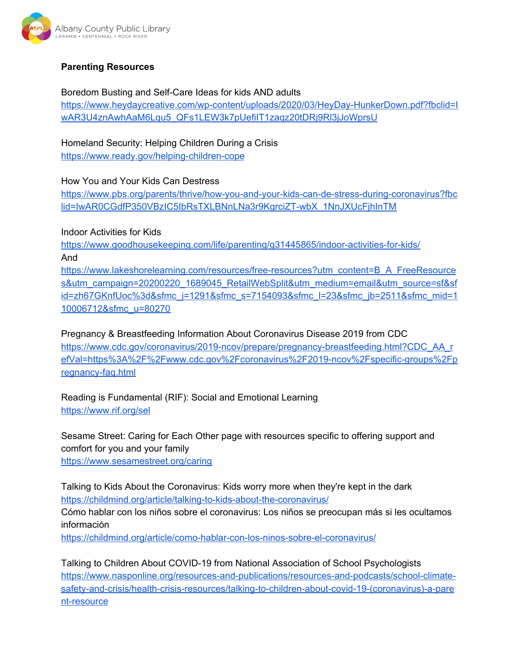

# <span id="page-10-0"></span>**Parenting Resources**

## Boredom Busting and Self-Care Ideas for kids AND adults

[https://www.heydaycreative.com/wp-content/uploads/2020/03/HeyDay-HunkerDown.pdf?fbclid=I](https://www.heydaycreative.com/wp-content/uploads/2020/03/HeyDay-HunkerDown.pdf?fbclid=IwAR3U4znAwhAaM6Lqu5_QFs1LEW3k7pUefiIT1zaqz20tDRj9Rl3jJoWprsU) [wAR3U4znAwhAaM6Lqu5\\_QFs1LEW3k7pUefiIT1zaqz20tDRj9Rl3jJoWprsU](https://www.heydaycreative.com/wp-content/uploads/2020/03/HeyDay-HunkerDown.pdf?fbclid=IwAR3U4znAwhAaM6Lqu5_QFs1LEW3k7pUefiIT1zaqz20tDRj9Rl3jJoWprsU)

Homeland Security: Helping Children During a Crisis <https://www.ready.gov/helping-children-cope>

How You and Your Kids Can Destress

[https://www.pbs.org/parents/thrive/how-you-and-your-kids-can-de-stress-during-coronavirus?fbc](https://www.pbs.org/parents/thrive/how-you-and-your-kids-can-de-stress-during-coronavirus?fbclid=IwAR0CGdfP350VBzIC5IbRsTXLBNnLNa3r9KgrciZT-wbX_1NnJXUcFjhInTM) [lid=IwAR0CGdfP350VBzIC5IbRsTXLBNnLNa3r9KgrciZT-wbX\\_1NnJXUcFjhInTM](https://www.pbs.org/parents/thrive/how-you-and-your-kids-can-de-stress-during-coronavirus?fbclid=IwAR0CGdfP350VBzIC5IbRsTXLBNnLNa3r9KgrciZT-wbX_1NnJXUcFjhInTM)

Indoor Activities for Kids

<https://www.goodhousekeeping.com/life/parenting/g31445865/indoor-activities-for-kids/> And

[https://www.lakeshorelearning.com/resources/free-resources?utm\\_content=B\\_A\\_FreeResource](https://www.lakeshorelearning.com/resources/free-resources?utm_content=B_A_FreeResources&utm_campaign=20200220_1689045_RetailWebSplit&utm_medium=email&utm_source=sf&sfid=zh67GKnfUoc%3d&sfmc_j=1291&sfmc_s=7154093&sfmc_l=23&sfmc_jb=2511&sfmc_mid=110006712&sfmc_u=80270) [s&utm\\_campaign=20200220\\_1689045\\_RetailWebSplit&utm\\_medium=email&utm\\_source=sf&sf](https://www.lakeshorelearning.com/resources/free-resources?utm_content=B_A_FreeResources&utm_campaign=20200220_1689045_RetailWebSplit&utm_medium=email&utm_source=sf&sfid=zh67GKnfUoc%3d&sfmc_j=1291&sfmc_s=7154093&sfmc_l=23&sfmc_jb=2511&sfmc_mid=110006712&sfmc_u=80270) [id=zh67GKnfUoc%3d&sfmc\\_j=1291&sfmc\\_s=7154093&sfmc\\_l=23&sfmc\\_jb=2511&sfmc\\_mid=1](https://www.lakeshorelearning.com/resources/free-resources?utm_content=B_A_FreeResources&utm_campaign=20200220_1689045_RetailWebSplit&utm_medium=email&utm_source=sf&sfid=zh67GKnfUoc%3d&sfmc_j=1291&sfmc_s=7154093&sfmc_l=23&sfmc_jb=2511&sfmc_mid=110006712&sfmc_u=80270) [10006712&sfmc\\_u=80270](https://www.lakeshorelearning.com/resources/free-resources?utm_content=B_A_FreeResources&utm_campaign=20200220_1689045_RetailWebSplit&utm_medium=email&utm_source=sf&sfid=zh67GKnfUoc%3d&sfmc_j=1291&sfmc_s=7154093&sfmc_l=23&sfmc_jb=2511&sfmc_mid=110006712&sfmc_u=80270)

Pregnancy & Breastfeeding Information About Coronavirus Disease 2019 from CDC [https://www.cdc.gov/coronavirus/2019-ncov/prepare/pregnancy-breastfeeding.html?CDC\\_AA\\_r](https://www.cdc.gov/coronavirus/2019-ncov/prepare/pregnancy-breastfeeding.html?CDC_AA_refVal=https%3A%2F%2Fwww.cdc.gov%2Fcoronavirus%2F2019-ncov%2Fspecific-groups%2Fpregnancy-faq.html) [efVal=https%3A%2F%2Fwww.cdc.gov%2Fcoronavirus%2F2019-ncov%2Fspecific-groups%2Fp](https://www.cdc.gov/coronavirus/2019-ncov/prepare/pregnancy-breastfeeding.html?CDC_AA_refVal=https%3A%2F%2Fwww.cdc.gov%2Fcoronavirus%2F2019-ncov%2Fspecific-groups%2Fpregnancy-faq.html) [regnancy-faq.html](https://www.cdc.gov/coronavirus/2019-ncov/prepare/pregnancy-breastfeeding.html?CDC_AA_refVal=https%3A%2F%2Fwww.cdc.gov%2Fcoronavirus%2F2019-ncov%2Fspecific-groups%2Fpregnancy-faq.html)

Reading is Fundamental (RIF): Social and Emotional Learning <https://www.rif.org/sel>

Sesame Street: Caring for Each Other page with resources specific to offering support and comfort for you and your family <https://www.sesamestreet.org/caring>

Talking to Kids About the Coronavirus: Kids worry more when they're kept in the dark <https://childmind.org/article/talking-to-kids-about-the-coronavirus/>

Cómo hablar con los niños sobre el coronavirus: Los niños se preocupan más si les ocultamos información

<https://childmind.org/article/como-hablar-con-los-ninos-sobre-el-coronavirus/>

Talking to Children About COVID-19 from National Association of School Psychologists [https://www.nasponline.org/resources-and-publications/resources-and-podcasts/school-climate](https://www.nasponline.org/resources-and-publications/resources-and-podcasts/school-climate-safety-and-crisis/health-crisis-resources/talking-to-children-about-covid-19-(coronavirus)-a-parent-resource)[safety-and-crisis/health-crisis-resources/talking-to-children-about-covid-19-\(coronavirus\)-a-pare](https://www.nasponline.org/resources-and-publications/resources-and-podcasts/school-climate-safety-and-crisis/health-crisis-resources/talking-to-children-about-covid-19-(coronavirus)-a-parent-resource) [nt-resource](https://www.nasponline.org/resources-and-publications/resources-and-podcasts/school-climate-safety-and-crisis/health-crisis-resources/talking-to-children-about-covid-19-(coronavirus)-a-parent-resource)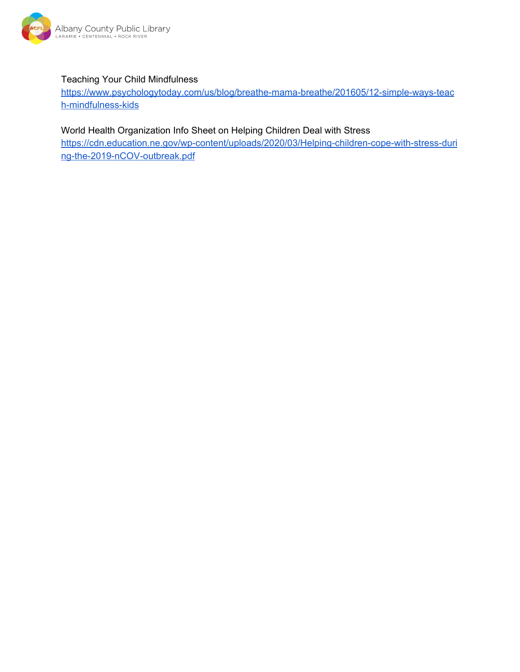

# Teaching Your Child Mindfulness

[https://www.psychologytoday.com/us/blog/breathe-mama-breathe/201605/12-simple-ways-teac](https://www.psychologytoday.com/us/blog/breathe-mama-breathe/201605/12-simple-ways-teach-mindfulness-kids) [h-mindfulness-kids](https://www.psychologytoday.com/us/blog/breathe-mama-breathe/201605/12-simple-ways-teach-mindfulness-kids)

# World Health Organization Info Sheet on Helping Children Deal with Stress

[https://cdn.education.ne.gov/wp-content/uploads/2020/03/Helping-children-cope-with-stress-duri](https://cdn.education.ne.gov/wp-content/uploads/2020/03/Helping-children-cope-with-stress-during-the-2019-nCOV-outbreak.pdf) [ng-the-2019-nCOV-outbreak.pdf](https://cdn.education.ne.gov/wp-content/uploads/2020/03/Helping-children-cope-with-stress-during-the-2019-nCOV-outbreak.pdf)